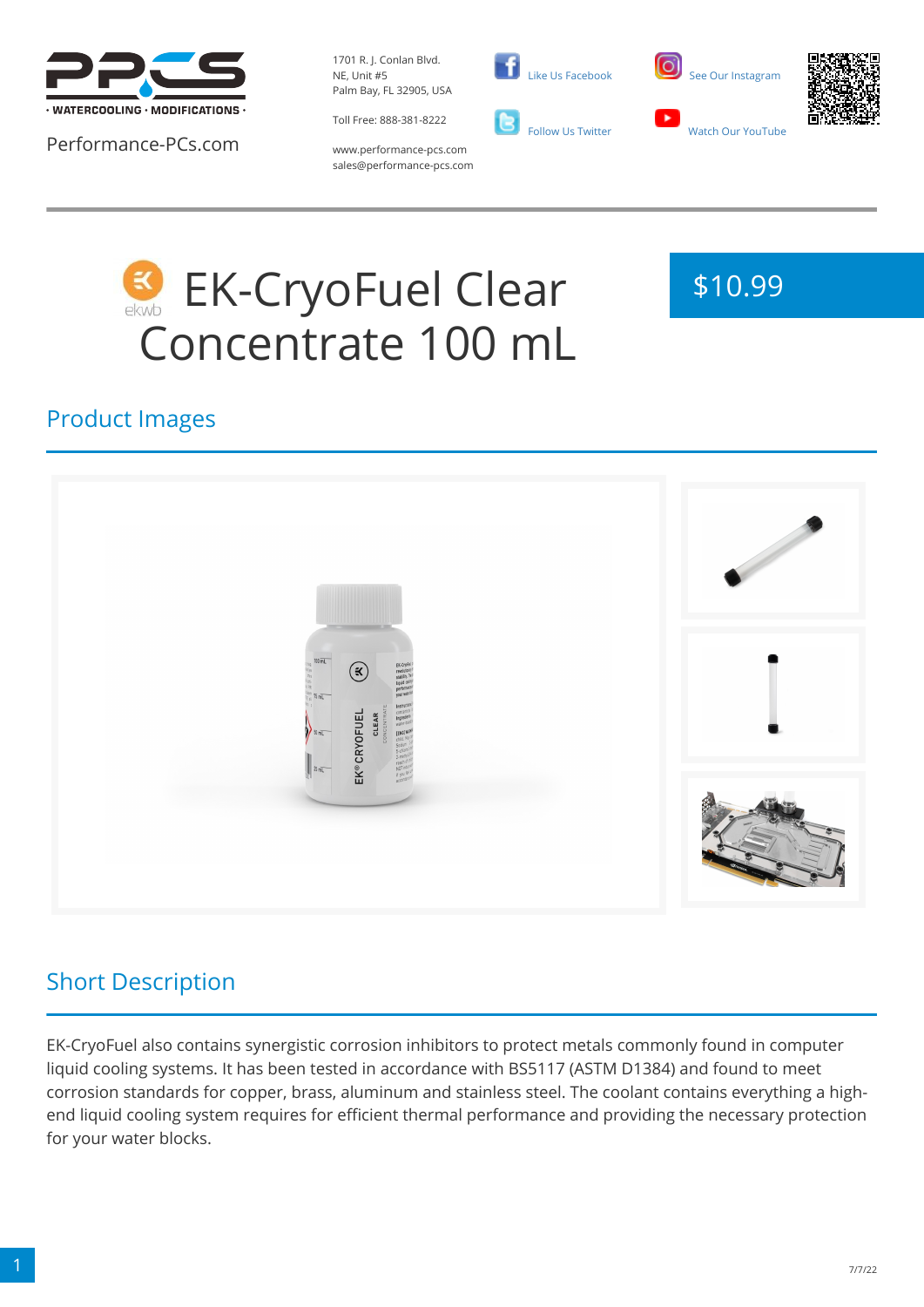

Performance-PCs.com

1701 R. J. Conlan Blvd. NE, Unit #5 Palm Bay, FL 32905, USA

Toll Free: 888-381-8222







www.performance-pcs.com sales@performance-pcs.com

# EK-CryoFuel Clear Concentrate 100 mL



### Product Images



# Short Description

EK-CryoFuel also contains synergistic corrosion inhibitors to protect metals commonly found in computer liquid cooling systems. It has been tested in accordance with BS5117 (ASTM D1384) and found to meet corrosion standards for copper, brass, aluminum and stainless steel. The coolant contains everything a highend liquid cooling system requires for efficient thermal performance and providing the necessary protection for your water blocks.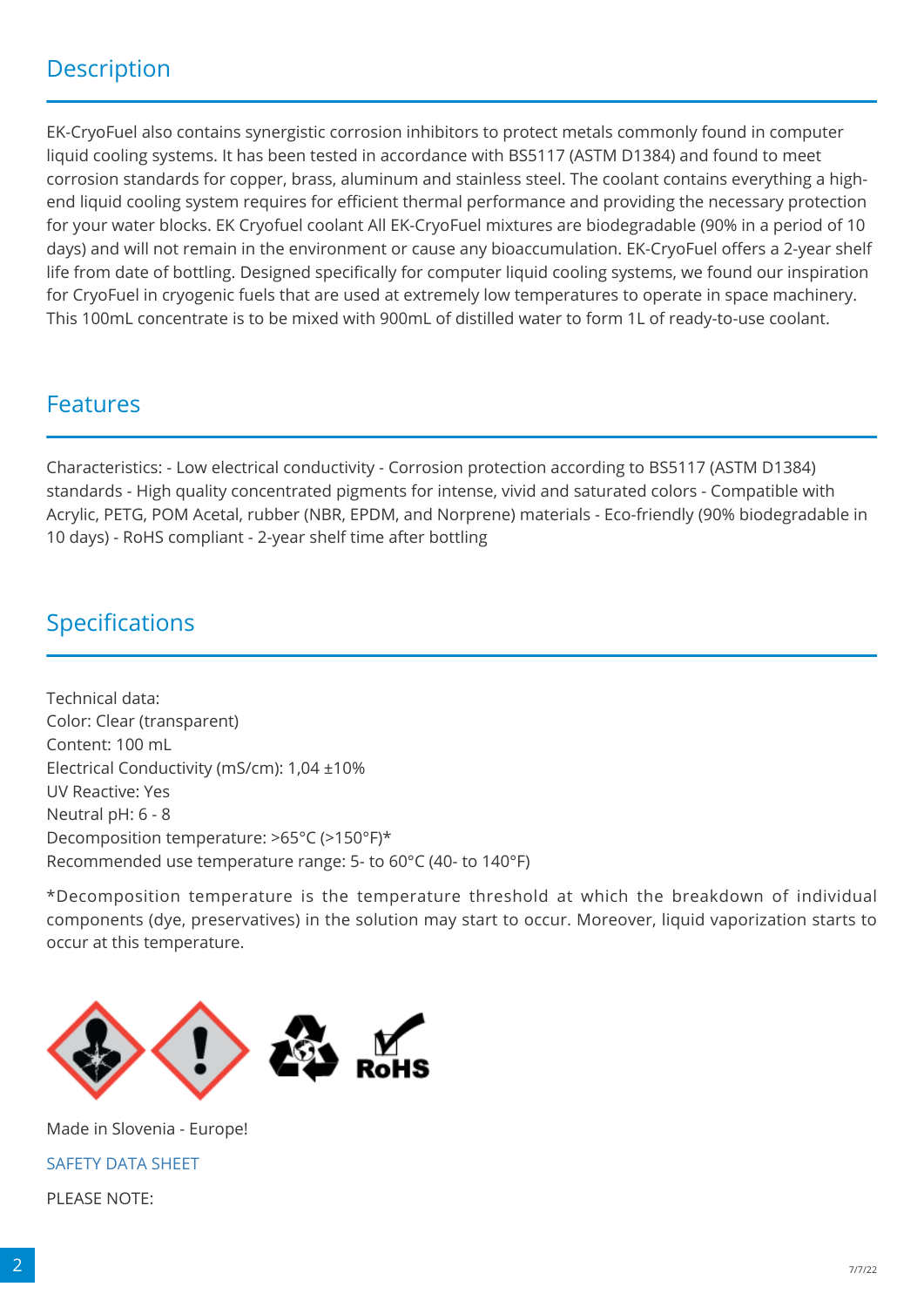### **Description**

EK-CryoFuel also contains synergistic corrosion inhibitors to protect metals commonly found in computer liquid cooling systems. It has been tested in accordance with BS5117 (ASTM D1384) and found to meet corrosion standards for copper, brass, aluminum and stainless steel. The coolant contains everything a highend liquid cooling system requires for efficient thermal performance and providing the necessary protection for your water blocks. EK Cryofuel coolant All EK-CryoFuel mixtures are biodegradable (90% in a period of 10 days) and will not remain in the environment or cause any bioaccumulation. EK-CryoFuel offers a 2-year shelf life from date of bottling. Designed specifically for computer liquid cooling systems, we found our inspiration for CryoFuel in cryogenic fuels that are used at extremely low temperatures to operate in space machinery. This 100mL concentrate is to be mixed with 900mL of distilled water to form 1L of ready-to-use coolant.

#### Features

Characteristics: - Low electrical conductivity - Corrosion protection according to BS5117 (ASTM D1384) standards - High quality concentrated pigments for intense, vivid and saturated colors - Compatible with Acrylic, PETG, POM Acetal, rubber (NBR, EPDM, and Norprene) materials - Eco-friendly (90% biodegradable in 10 days) - RoHS compliant - 2-year shelf time after bottling

#### Specifications

Technical data: Color: Clear (transparent) Content: 100 mL Electrical Conductivity (mS/cm): 1,04 ±10% UV Reactive: Yes Neutral pH: 6 - 8 Decomposition temperature: >65°C (>150°F)\* Recommended use temperature range: 5- to 60°C (40- to 140°F)

\*Decomposition temperature is the temperature threshold at which the breakdown of individual components (dye, preservatives) in the solution may start to occur. Moreover, liquid vaporization starts to occur at this temperature.



Made in Slovenia - Europe! [SAFETY DATA SHEET](https://www.ekwb.com/shop/EK-IM/EK-IM-3831109810439.pdf) PLEASE NOTE: